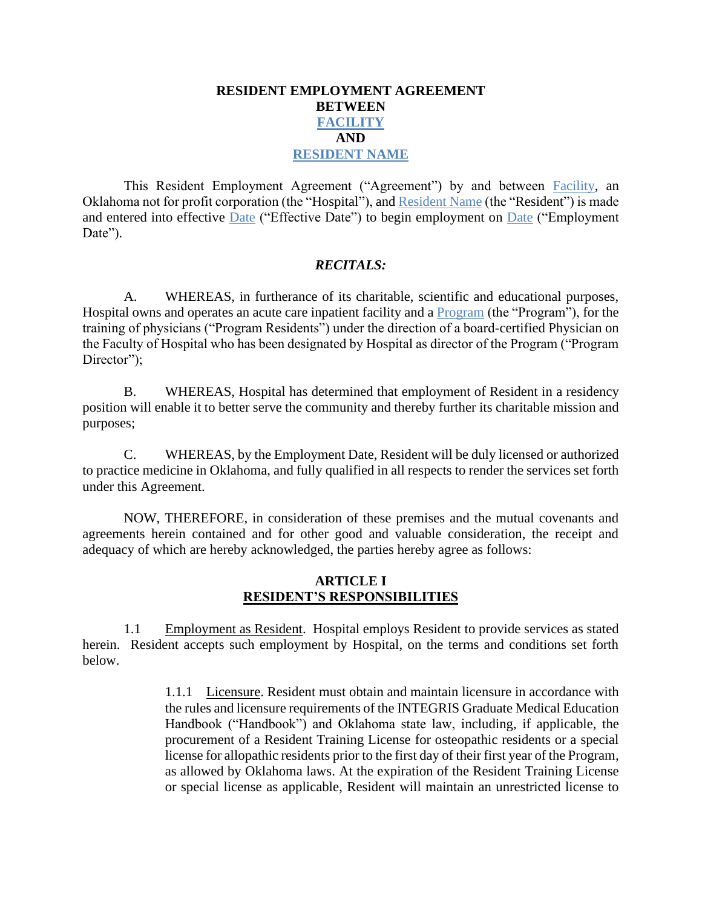# **RESIDENT EMPLOYMENT AGREEMENT BETWEEN FACILITY AND RESIDENT NAME**

This Resident Employment Agreement ("Agreement") by and between Facility, an Oklahoma not for profit corporation (the "Hospital"), and Resident Name (the "Resident") is made and entered into effective Date ("Effective Date") to begin employment on Date ("Employment Date").

# *RECITALS:*

A. WHEREAS, in furtherance of its charitable, scientific and educational purposes, Hospital owns and operates an acute care inpatient facility and a Program (the "Program"), for the training of physicians ("Program Residents") under the direction of a board-certified Physician on the Faculty of Hospital who has been designated by Hospital as director of the Program ("Program Director");

B. WHEREAS, Hospital has determined that employment of Resident in a residency position will enable it to better serve the community and thereby further its charitable mission and purposes;

C. WHEREAS, by the Employment Date, Resident will be duly licensed or authorized to practice medicine in Oklahoma, and fully qualified in all respects to render the services set forth under this Agreement.

NOW, THEREFORE, in consideration of these premises and the mutual covenants and agreements herein contained and for other good and valuable consideration, the receipt and adequacy of which are hereby acknowledged, the parties hereby agree as follows:

# **ARTICLE I RESIDENT'S RESPONSIBILITIES**

1.1 Employment as Resident. Hospital employs Resident to provide services as stated herein. Resident accepts such employment by Hospital, on the terms and conditions set forth below.

> 1.1.1 Licensure. Resident must obtain and maintain licensure in accordance with the rules and licensure requirements of the INTEGRIS Graduate Medical Education Handbook ("Handbook") and Oklahoma state law, including, if applicable, the procurement of a Resident Training License for osteopathic residents or a special license for allopathic residents prior to the first day of their first year of the Program, as allowed by Oklahoma laws. At the expiration of the Resident Training License or special license as applicable, Resident will maintain an unrestricted license to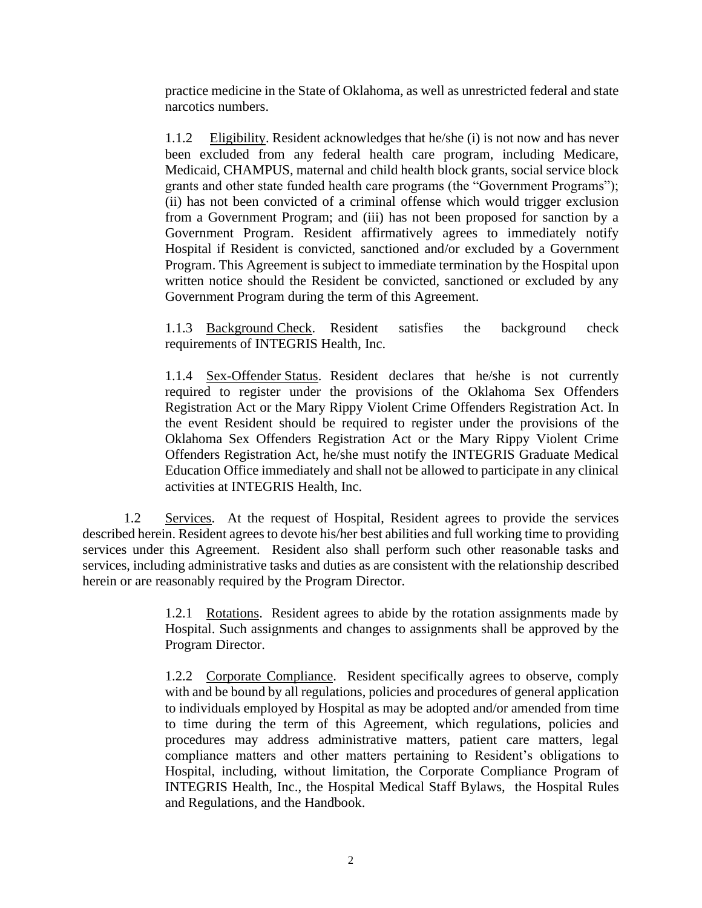practice medicine in the State of Oklahoma, as well as unrestricted federal and state narcotics numbers.

1.1.2 Eligibility. Resident acknowledges that he/she (i) is not now and has never been excluded from any federal health care program, including Medicare, Medicaid, CHAMPUS, maternal and child health block grants, social service block grants and other state funded health care programs (the "Government Programs"); (ii) has not been convicted of a criminal offense which would trigger exclusion from a Government Program; and (iii) has not been proposed for sanction by a Government Program. Resident affirmatively agrees to immediately notify Hospital if Resident is convicted, sanctioned and/or excluded by a Government Program. This Agreement is subject to immediate termination by the Hospital upon written notice should the Resident be convicted, sanctioned or excluded by any Government Program during the term of this Agreement.

1.1.3 Background Check. Resident satisfies the background check requirements of INTEGRIS Health, Inc.

1.1.4 Sex-Offender Status. Resident declares that he/she is not currently required to register under the provisions of the Oklahoma Sex Offenders Registration Act or the Mary Rippy Violent Crime Offenders Registration Act. In the event Resident should be required to register under the provisions of the Oklahoma Sex Offenders Registration Act or the Mary Rippy Violent Crime Offenders Registration Act, he/she must notify the INTEGRIS Graduate Medical Education Office immediately and shall not be allowed to participate in any clinical activities at INTEGRIS Health, Inc.

1.2 Services. At the request of Hospital, Resident agrees to provide the services described herein. Resident agrees to devote his/her best abilities and full working time to providing services under this Agreement. Resident also shall perform such other reasonable tasks and services, including administrative tasks and duties as are consistent with the relationship described herein or are reasonably required by the Program Director.

> 1.2.1 Rotations. Resident agrees to abide by the rotation assignments made by Hospital. Such assignments and changes to assignments shall be approved by the Program Director.

> 1.2.2 Corporate Compliance. Resident specifically agrees to observe, comply with and be bound by all regulations, policies and procedures of general application to individuals employed by Hospital as may be adopted and/or amended from time to time during the term of this Agreement, which regulations, policies and procedures may address administrative matters, patient care matters, legal compliance matters and other matters pertaining to Resident's obligations to Hospital, including, without limitation, the Corporate Compliance Program of INTEGRIS Health, Inc., the Hospital Medical Staff Bylaws, the Hospital Rules and Regulations, and the Handbook.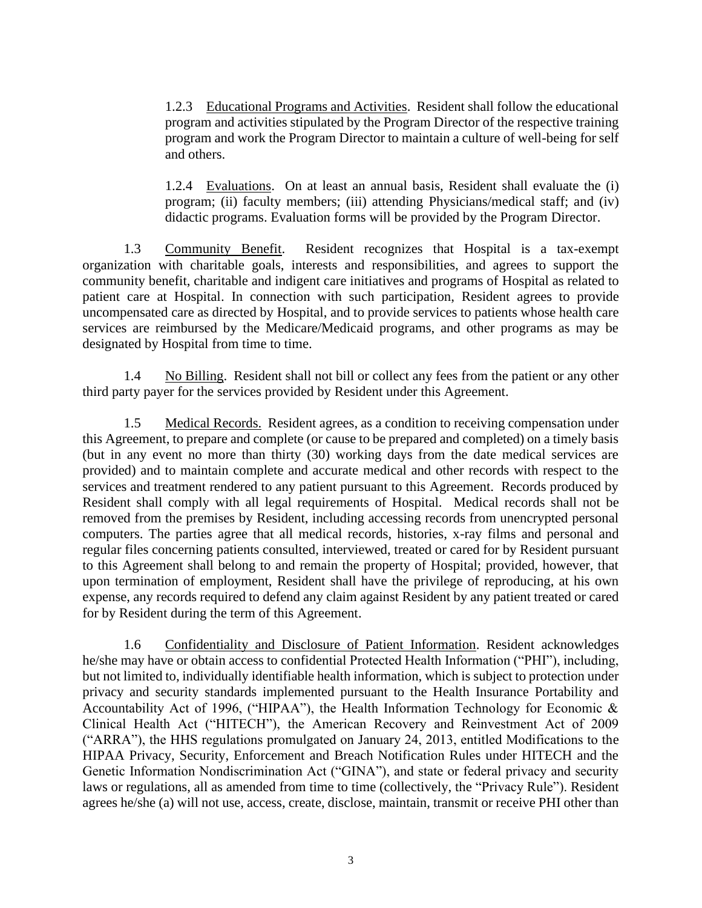1.2.3 Educational Programs and Activities. Resident shall follow the educational program and activities stipulated by the Program Director of the respective training program and work the Program Director to maintain a culture of well-being for self and others.

1.2.4 Evaluations. On at least an annual basis, Resident shall evaluate the (i) program; (ii) faculty members; (iii) attending Physicians/medical staff; and (iv) didactic programs. Evaluation forms will be provided by the Program Director.

1.3 Community Benefit. Resident recognizes that Hospital is a tax-exempt organization with charitable goals, interests and responsibilities, and agrees to support the community benefit, charitable and indigent care initiatives and programs of Hospital as related to patient care at Hospital. In connection with such participation, Resident agrees to provide uncompensated care as directed by Hospital, and to provide services to patients whose health care services are reimbursed by the Medicare/Medicaid programs, and other programs as may be designated by Hospital from time to time.

1.4 No Billing. Resident shall not bill or collect any fees from the patient or any other third party payer for the services provided by Resident under this Agreement.

1.5 Medical Records. Resident agrees, as a condition to receiving compensation under this Agreement, to prepare and complete (or cause to be prepared and completed) on a timely basis (but in any event no more than thirty (30) working days from the date medical services are provided) and to maintain complete and accurate medical and other records with respect to the services and treatment rendered to any patient pursuant to this Agreement. Records produced by Resident shall comply with all legal requirements of Hospital. Medical records shall not be removed from the premises by Resident, including accessing records from unencrypted personal computers. The parties agree that all medical records, histories, x-ray films and personal and regular files concerning patients consulted, interviewed, treated or cared for by Resident pursuant to this Agreement shall belong to and remain the property of Hospital; provided, however, that upon termination of employment, Resident shall have the privilege of reproducing, at his own expense, any records required to defend any claim against Resident by any patient treated or cared for by Resident during the term of this Agreement.

1.6 Confidentiality and Disclosure of Patient Information. Resident acknowledges he/she may have or obtain access to confidential Protected Health Information ("PHI"), including, but not limited to, individually identifiable health information, which is subject to protection under privacy and security standards implemented pursuant to the Health Insurance Portability and Accountability Act of 1996, ("HIPAA"), the Health Information Technology for Economic & Clinical Health Act ("HITECH"), the American Recovery and Reinvestment Act of 2009 ("ARRA"), the HHS regulations promulgated on January 24, 2013, entitled Modifications to the HIPAA Privacy, Security, Enforcement and Breach Notification Rules under HITECH and the Genetic Information Nondiscrimination Act ("GINA"), and state or federal privacy and security laws or regulations, all as amended from time to time (collectively, the "Privacy Rule"). Resident agrees he/she (a) will not use, access, create, disclose, maintain, transmit or receive PHI other than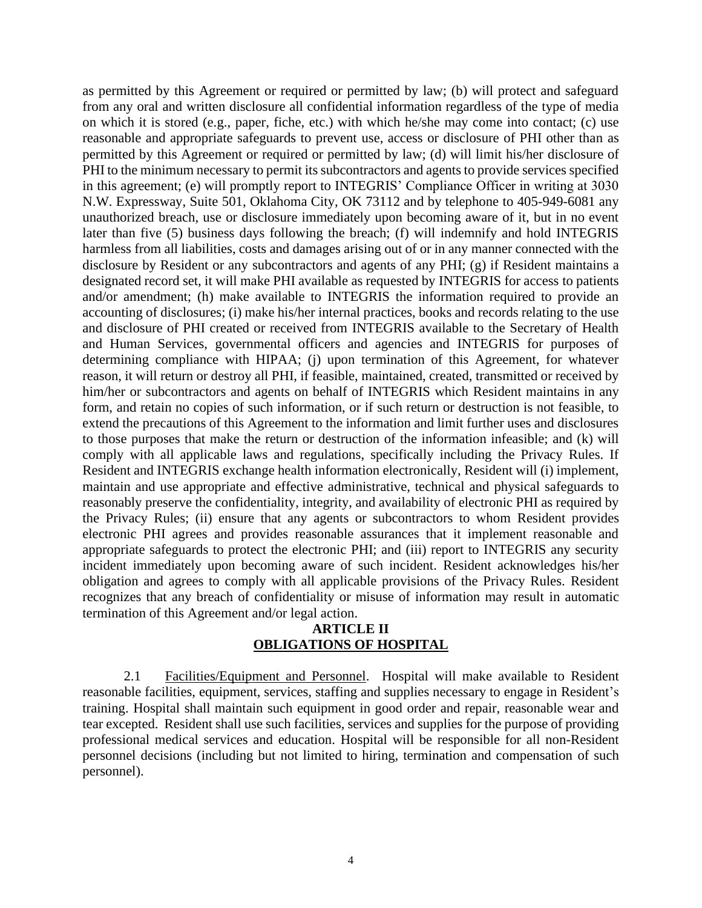as permitted by this Agreement or required or permitted by law; (b) will protect and safeguard from any oral and written disclosure all confidential information regardless of the type of media on which it is stored (e.g., paper, fiche, etc.) with which he/she may come into contact; (c) use reasonable and appropriate safeguards to prevent use, access or disclosure of PHI other than as permitted by this Agreement or required or permitted by law; (d) will limit his/her disclosure of PHI to the minimum necessary to permit its subcontractors and agents to provide services specified in this agreement; (e) will promptly report to INTEGRIS' Compliance Officer in writing at 3030 N.W. Expressway, Suite 501, Oklahoma City, OK 73112 and by telephone to 405-949-6081 any unauthorized breach, use or disclosure immediately upon becoming aware of it, but in no event later than five (5) business days following the breach; (f) will indemnify and hold INTEGRIS harmless from all liabilities, costs and damages arising out of or in any manner connected with the disclosure by Resident or any subcontractors and agents of any PHI; (g) if Resident maintains a designated record set, it will make PHI available as requested by INTEGRIS for access to patients and/or amendment; (h) make available to INTEGRIS the information required to provide an accounting of disclosures; (i) make his/her internal practices, books and records relating to the use and disclosure of PHI created or received from INTEGRIS available to the Secretary of Health and Human Services, governmental officers and agencies and INTEGRIS for purposes of determining compliance with HIPAA; (j) upon termination of this Agreement, for whatever reason, it will return or destroy all PHI, if feasible, maintained, created, transmitted or received by him/her or subcontractors and agents on behalf of INTEGRIS which Resident maintains in any form, and retain no copies of such information, or if such return or destruction is not feasible, to extend the precautions of this Agreement to the information and limit further uses and disclosures to those purposes that make the return or destruction of the information infeasible; and (k) will comply with all applicable laws and regulations, specifically including the Privacy Rules. If Resident and INTEGRIS exchange health information electronically, Resident will (i) implement, maintain and use appropriate and effective administrative, technical and physical safeguards to reasonably preserve the confidentiality, integrity, and availability of electronic PHI as required by the Privacy Rules; (ii) ensure that any agents or subcontractors to whom Resident provides electronic PHI agrees and provides reasonable assurances that it implement reasonable and appropriate safeguards to protect the electronic PHI; and (iii) report to INTEGRIS any security incident immediately upon becoming aware of such incident. Resident acknowledges his/her obligation and agrees to comply with all applicable provisions of the Privacy Rules. Resident recognizes that any breach of confidentiality or misuse of information may result in automatic termination of this Agreement and/or legal action.

## **ARTICLE II OBLIGATIONS OF HOSPITAL**

2.1 Facilities/Equipment and Personnel. Hospital will make available to Resident reasonable facilities, equipment, services, staffing and supplies necessary to engage in Resident's training. Hospital shall maintain such equipment in good order and repair, reasonable wear and tear excepted. Resident shall use such facilities, services and supplies for the purpose of providing professional medical services and education. Hospital will be responsible for all non-Resident personnel decisions (including but not limited to hiring, termination and compensation of such personnel).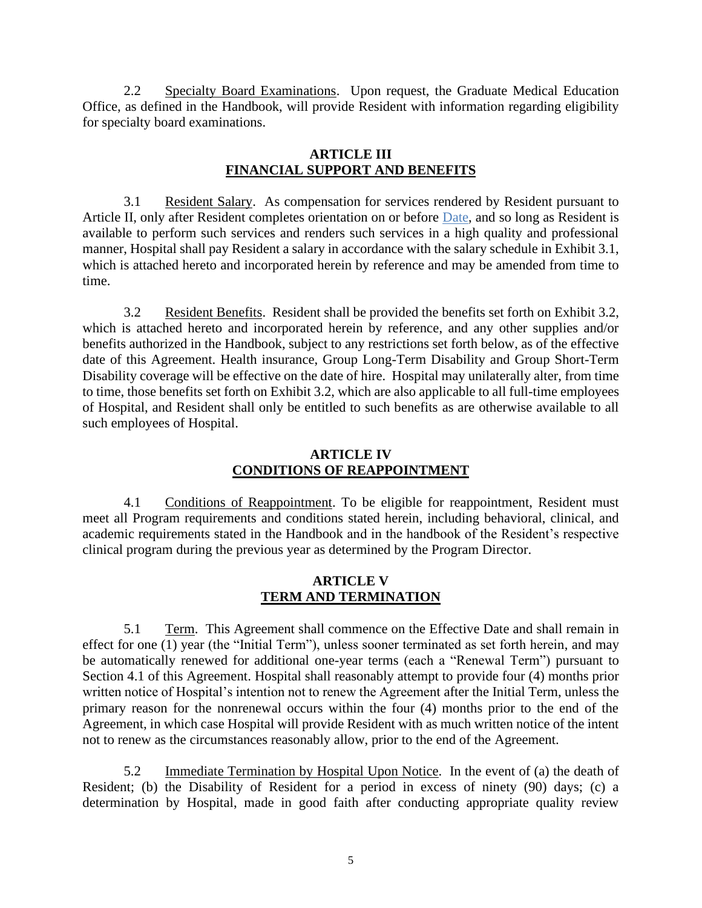2.2 Specialty Board Examinations. Upon request, the Graduate Medical Education Office, as defined in the Handbook, will provide Resident with information regarding eligibility for specialty board examinations.

# **ARTICLE III FINANCIAL SUPPORT AND BENEFITS**

3.1 Resident Salary. As compensation for services rendered by Resident pursuant to Article II, only after Resident completes orientation on or before Date, and so long as Resident is available to perform such services and renders such services in a high quality and professional manner, Hospital shall pay Resident a salary in accordance with the salary schedule in Exhibit 3.1, which is attached hereto and incorporated herein by reference and may be amended from time to time.

3.2 Resident Benefits. Resident shall be provided the benefits set forth on Exhibit 3.2, which is attached hereto and incorporated herein by reference, and any other supplies and/or benefits authorized in the Handbook, subject to any restrictions set forth below, as of the effective date of this Agreement. Health insurance, Group Long-Term Disability and Group Short-Term Disability coverage will be effective on the date of hire. Hospital may unilaterally alter, from time to time, those benefits set forth on Exhibit 3.2, which are also applicable to all full-time employees of Hospital, and Resident shall only be entitled to such benefits as are otherwise available to all such employees of Hospital.

# **ARTICLE IV CONDITIONS OF REAPPOINTMENT**

4.1 Conditions of Reappointment. To be eligible for reappointment, Resident must meet all Program requirements and conditions stated herein, including behavioral, clinical, and academic requirements stated in the Handbook and in the handbook of the Resident's respective clinical program during the previous year as determined by the Program Director.

# **ARTICLE V TERM AND TERMINATION**

5.1 Term. This Agreement shall commence on the Effective Date and shall remain in effect for one (1) year (the "Initial Term"), unless sooner terminated as set forth herein, and may be automatically renewed for additional one-year terms (each a "Renewal Term") pursuant to Section 4.1 of this Agreement. Hospital shall reasonably attempt to provide four (4) months prior written notice of Hospital's intention not to renew the Agreement after the Initial Term, unless the primary reason for the nonrenewal occurs within the four (4) months prior to the end of the Agreement, in which case Hospital will provide Resident with as much written notice of the intent not to renew as the circumstances reasonably allow, prior to the end of the Agreement.

5.2 Immediate Termination by Hospital Upon Notice. In the event of (a) the death of Resident; (b) the Disability of Resident for a period in excess of ninety (90) days; (c) a determination by Hospital, made in good faith after conducting appropriate quality review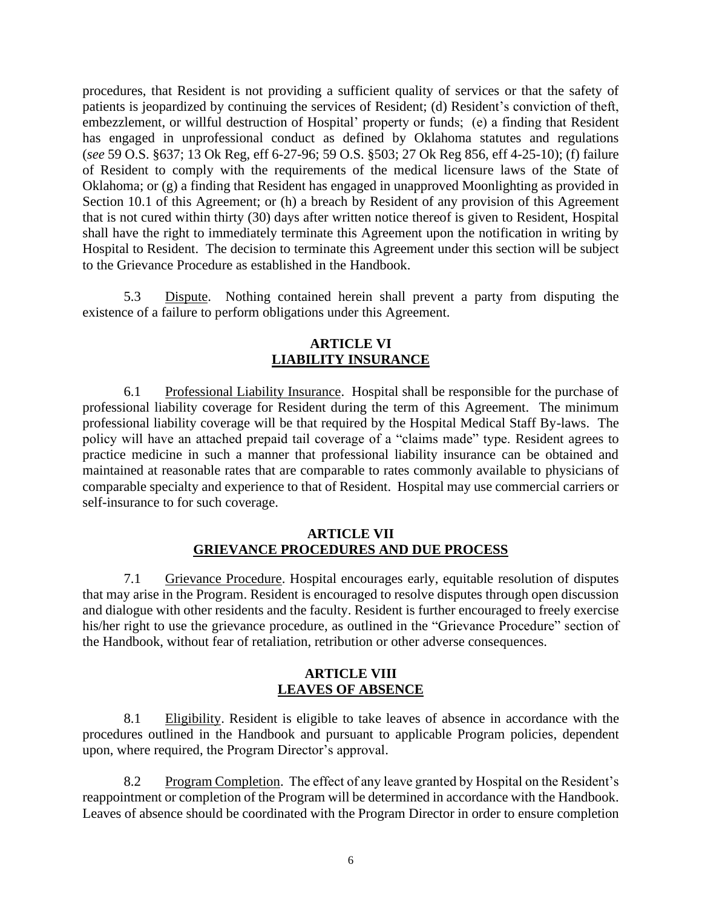procedures, that Resident is not providing a sufficient quality of services or that the safety of patients is jeopardized by continuing the services of Resident; (d) Resident's conviction of theft, embezzlement, or willful destruction of Hospital' property or funds; (e) a finding that Resident has engaged in unprofessional conduct as defined by Oklahoma statutes and regulations (*see* 59 O.S. §637; 13 Ok Reg, eff 6-27-96; 59 O.S. §503; 27 Ok Reg 856, eff 4-25-10); (f) failure of Resident to comply with the requirements of the medical licensure laws of the State of Oklahoma; or (g) a finding that Resident has engaged in unapproved Moonlighting as provided in Section 10.1 of this Agreement; or (h) a breach by Resident of any provision of this Agreement that is not cured within thirty (30) days after written notice thereof is given to Resident, Hospital shall have the right to immediately terminate this Agreement upon the notification in writing by Hospital to Resident. The decision to terminate this Agreement under this section will be subject to the Grievance Procedure as established in the Handbook.

5.3 Dispute. Nothing contained herein shall prevent a party from disputing the existence of a failure to perform obligations under this Agreement.

# **ARTICLE VI LIABILITY INSURANCE**

6.1 Professional Liability Insurance. Hospital shall be responsible for the purchase of professional liability coverage for Resident during the term of this Agreement. The minimum professional liability coverage will be that required by the Hospital Medical Staff By-laws. The policy will have an attached prepaid tail coverage of a "claims made" type. Resident agrees to practice medicine in such a manner that professional liability insurance can be obtained and maintained at reasonable rates that are comparable to rates commonly available to physicians of comparable specialty and experience to that of Resident. Hospital may use commercial carriers or self-insurance to for such coverage.

# **ARTICLE VII GRIEVANCE PROCEDURES AND DUE PROCESS**

7.1 Grievance Procedure. Hospital encourages early, equitable resolution of disputes that may arise in the Program. Resident is encouraged to resolve disputes through open discussion and dialogue with other residents and the faculty. Resident is further encouraged to freely exercise his/her right to use the grievance procedure, as outlined in the "Grievance Procedure" section of the Handbook, without fear of retaliation, retribution or other adverse consequences.

# **ARTICLE VIII LEAVES OF ABSENCE**

8.1 Eligibility. Resident is eligible to take leaves of absence in accordance with the procedures outlined in the Handbook and pursuant to applicable Program policies, dependent upon, where required, the Program Director's approval.

8.2 Program Completion. The effect of any leave granted by Hospital on the Resident's reappointment or completion of the Program will be determined in accordance with the Handbook. Leaves of absence should be coordinated with the Program Director in order to ensure completion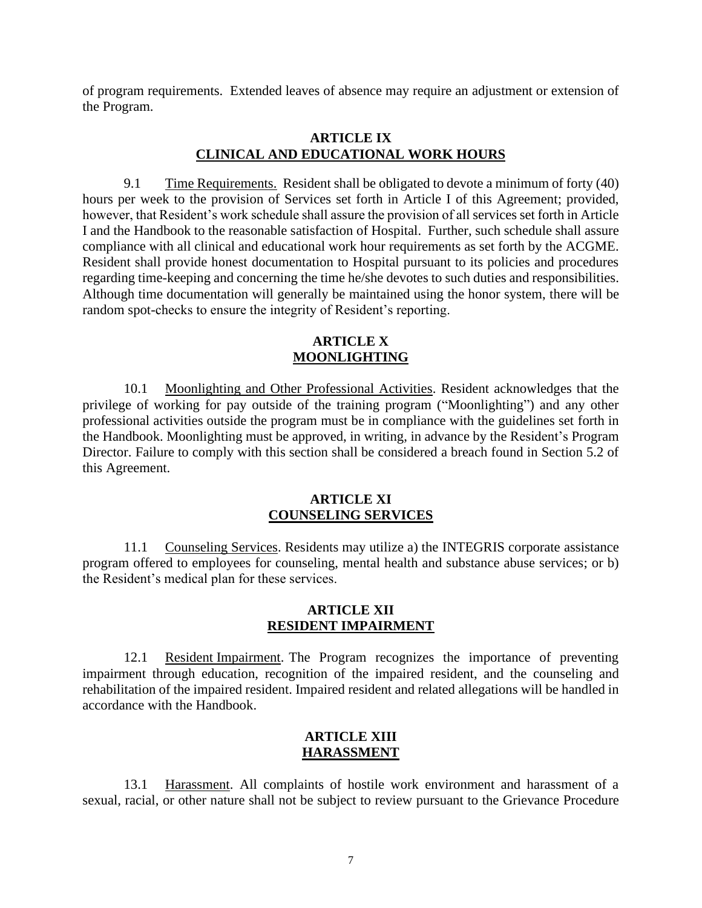of program requirements. Extended leaves of absence may require an adjustment or extension of the Program.

## **ARTICLE IX CLINICAL AND EDUCATIONAL WORK HOURS**

9.1 Time Requirements. Resident shall be obligated to devote a minimum of forty (40) hours per week to the provision of Services set forth in Article I of this Agreement; provided, however, that Resident's work schedule shall assure the provision of all services set forth in Article I and the Handbook to the reasonable satisfaction of Hospital. Further, such schedule shall assure compliance with all clinical and educational work hour requirements as set forth by the ACGME. Resident shall provide honest documentation to Hospital pursuant to its policies and procedures regarding time-keeping and concerning the time he/she devotes to such duties and responsibilities. Although time documentation will generally be maintained using the honor system, there will be random spot-checks to ensure the integrity of Resident's reporting.

# **ARTICLE X MOONLIGHTING**

10.1 Moonlighting and Other Professional Activities. Resident acknowledges that the privilege of working for pay outside of the training program ("Moonlighting") and any other professional activities outside the program must be in compliance with the guidelines set forth in the Handbook. Moonlighting must be approved, in writing, in advance by the Resident's Program Director. Failure to comply with this section shall be considered a breach found in Section 5.2 of this Agreement.

# **ARTICLE XI COUNSELING SERVICES**

11.1 Counseling Services. Residents may utilize a) the INTEGRIS corporate assistance program offered to employees for counseling, mental health and substance abuse services; or b) the Resident's medical plan for these services.

## **ARTICLE XII RESIDENT IMPAIRMENT**

12.1 Resident Impairment. The Program recognizes the importance of preventing impairment through education, recognition of the impaired resident, and the counseling and rehabilitation of the impaired resident. Impaired resident and related allegations will be handled in accordance with the Handbook.

# **ARTICLE XIII HARASSMENT**

13.1 Harassment. All complaints of hostile work environment and harassment of a sexual, racial, or other nature shall not be subject to review pursuant to the Grievance Procedure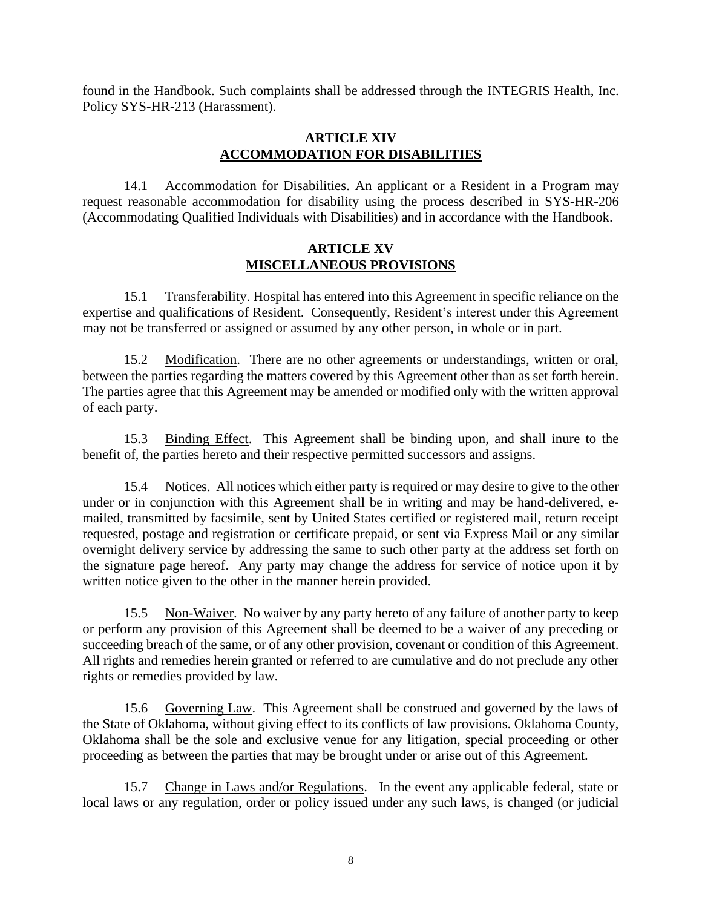found in the Handbook. Such complaints shall be addressed through the INTEGRIS Health, Inc. Policy SYS-HR-213 (Harassment).

# **ARTICLE XIV ACCOMMODATION FOR DISABILITIES**

14.1 Accommodation for Disabilities. An applicant or a Resident in a Program may request reasonable accommodation for disability using the process described in SYS-HR-206 (Accommodating Qualified Individuals with Disabilities) and in accordance with the Handbook.

## **ARTICLE XV MISCELLANEOUS PROVISIONS**

15.1 Transferability. Hospital has entered into this Agreement in specific reliance on the expertise and qualifications of Resident. Consequently, Resident's interest under this Agreement may not be transferred or assigned or assumed by any other person, in whole or in part.

15.2 Modification. There are no other agreements or understandings, written or oral, between the parties regarding the matters covered by this Agreement other than as set forth herein. The parties agree that this Agreement may be amended or modified only with the written approval of each party.

15.3 Binding Effect. This Agreement shall be binding upon, and shall inure to the benefit of, the parties hereto and their respective permitted successors and assigns.

15.4 Notices. All notices which either party is required or may desire to give to the other under or in conjunction with this Agreement shall be in writing and may be hand-delivered, emailed, transmitted by facsimile, sent by United States certified or registered mail, return receipt requested, postage and registration or certificate prepaid, or sent via Express Mail or any similar overnight delivery service by addressing the same to such other party at the address set forth on the signature page hereof. Any party may change the address for service of notice upon it by written notice given to the other in the manner herein provided.

15.5 Non-Waiver. No waiver by any party hereto of any failure of another party to keep or perform any provision of this Agreement shall be deemed to be a waiver of any preceding or succeeding breach of the same, or of any other provision, covenant or condition of this Agreement. All rights and remedies herein granted or referred to are cumulative and do not preclude any other rights or remedies provided by law.

15.6 Governing Law. This Agreement shall be construed and governed by the laws of the State of Oklahoma, without giving effect to its conflicts of law provisions. Oklahoma County, Oklahoma shall be the sole and exclusive venue for any litigation, special proceeding or other proceeding as between the parties that may be brought under or arise out of this Agreement.

15.7 Change in Laws and/or Regulations. In the event any applicable federal, state or local laws or any regulation, order or policy issued under any such laws, is changed (or judicial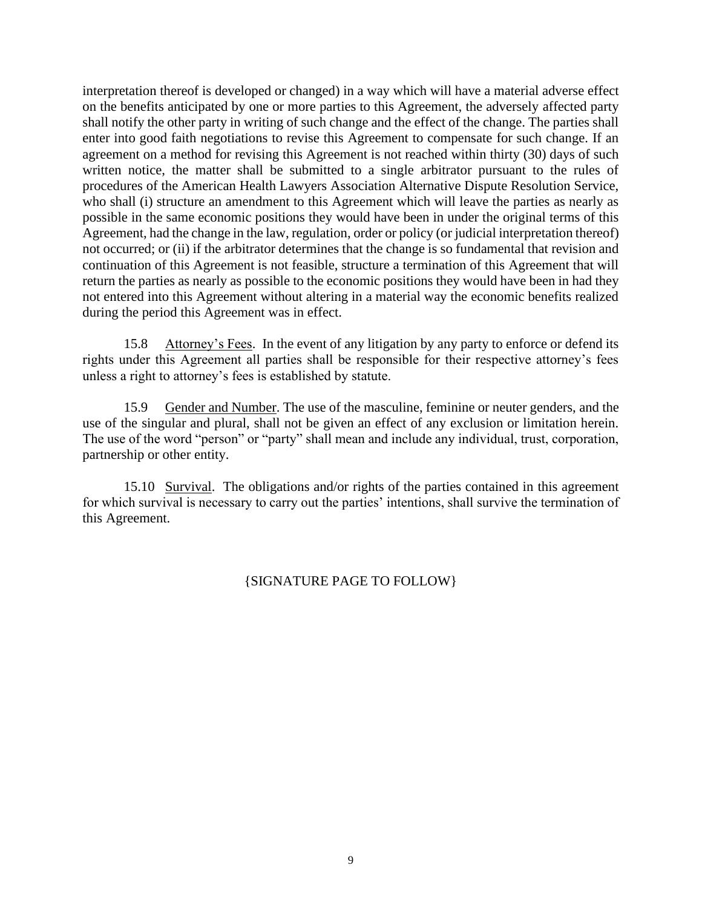interpretation thereof is developed or changed) in a way which will have a material adverse effect on the benefits anticipated by one or more parties to this Agreement, the adversely affected party shall notify the other party in writing of such change and the effect of the change. The parties shall enter into good faith negotiations to revise this Agreement to compensate for such change. If an agreement on a method for revising this Agreement is not reached within thirty (30) days of such written notice, the matter shall be submitted to a single arbitrator pursuant to the rules of procedures of the American Health Lawyers Association Alternative Dispute Resolution Service, who shall (i) structure an amendment to this Agreement which will leave the parties as nearly as possible in the same economic positions they would have been in under the original terms of this Agreement, had the change in the law, regulation, order or policy (or judicial interpretation thereof) not occurred; or (ii) if the arbitrator determines that the change is so fundamental that revision and continuation of this Agreement is not feasible, structure a termination of this Agreement that will return the parties as nearly as possible to the economic positions they would have been in had they not entered into this Agreement without altering in a material way the economic benefits realized during the period this Agreement was in effect.

15.8 Attorney's Fees. In the event of any litigation by any party to enforce or defend its rights under this Agreement all parties shall be responsible for their respective attorney's fees unless a right to attorney's fees is established by statute.

15.9 Gender and Number. The use of the masculine, feminine or neuter genders, and the use of the singular and plural, shall not be given an effect of any exclusion or limitation herein. The use of the word "person" or "party" shall mean and include any individual, trust, corporation, partnership or other entity.

15.10 Survival. The obligations and/or rights of the parties contained in this agreement for which survival is necessary to carry out the parties' intentions, shall survive the termination of this Agreement.

# {SIGNATURE PAGE TO FOLLOW}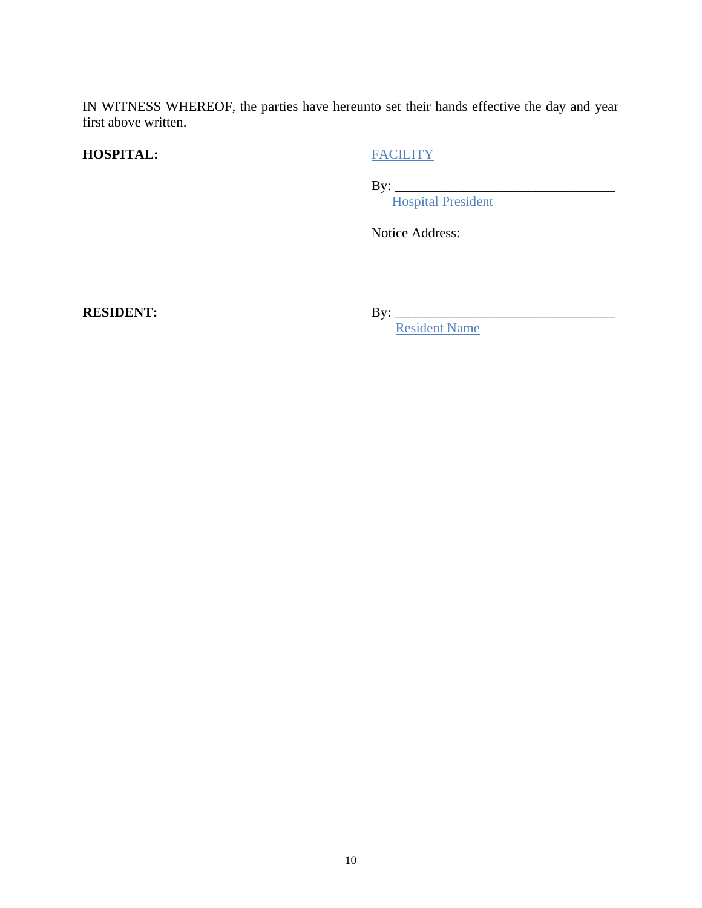IN WITNESS WHEREOF, the parties have hereunto set their hands effective the day and year first above written.

# **HOSPITAL:** FACILITY

By: \_\_\_\_\_\_\_\_\_\_\_\_\_\_\_\_\_\_\_\_\_\_\_\_\_\_\_\_\_\_\_\_

Hospital President

Notice Address:

**RESIDENT:** By: \_\_\_\_\_\_\_\_\_\_\_\_\_\_\_\_\_\_\_\_\_\_\_\_\_\_\_\_\_\_\_\_

**Resident Name**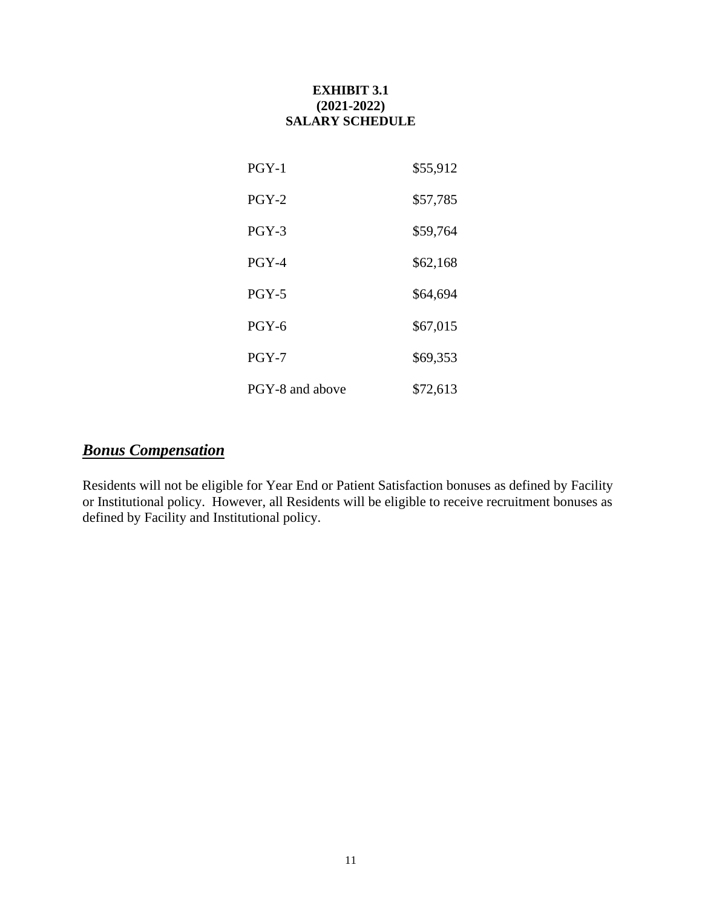# **EXHIBIT 3.1 (2021-2022) SALARY SCHEDULE**

| $PGY-1$         | \$55,912 |
|-----------------|----------|
| $PGY-2$         | \$57,785 |
| $PGY-3$         | \$59,764 |
| $PGY-4$         | \$62,168 |
| $PGY-5$         | \$64,694 |
| $PGY-6$         | \$67,015 |
| $PGY-7$         | \$69,353 |
| PGY-8 and above | \$72,613 |

# *Bonus Compensation*

Residents will not be eligible for Year End or Patient Satisfaction bonuses as defined by Facility or Institutional policy. However, all Residents will be eligible to receive recruitment bonuses as defined by Facility and Institutional policy.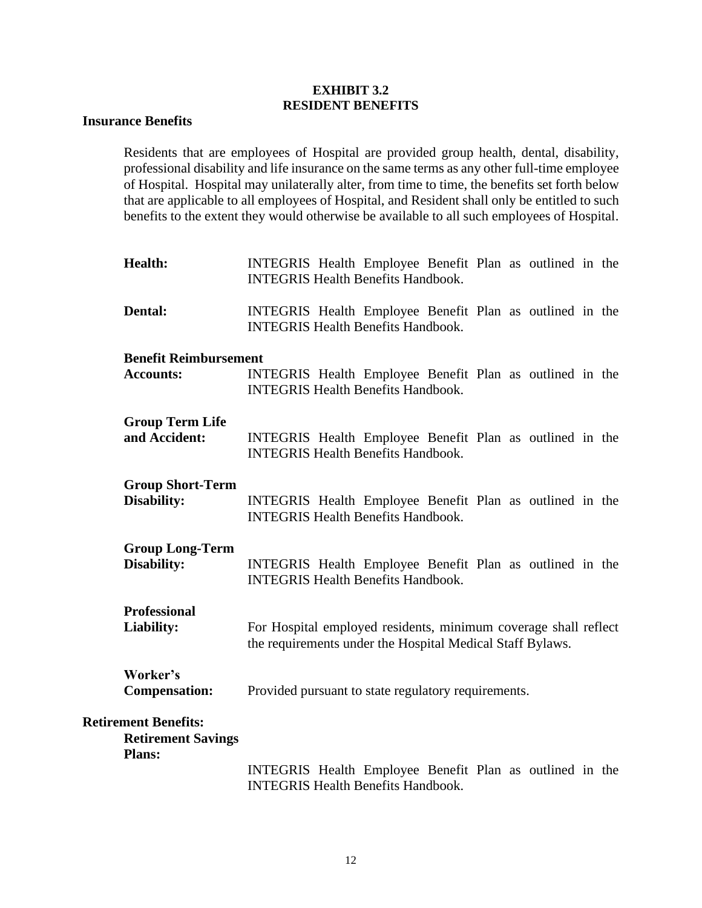# **EXHIBIT 3.2 RESIDENT BENEFITS**

## **Insurance Benefits**

Residents that are employees of Hospital are provided group health, dental, disability, professional disability and life insurance on the same terms as any other full-time employee of Hospital. Hospital may unilaterally alter, from time to time, the benefits set forth below that are applicable to all employees of Hospital, and Resident shall only be entitled to such benefits to the extent they would otherwise be available to all such employees of Hospital.

- **Health:** INTEGRIS Health Employee Benefit Plan as outlined in the INTEGRIS Health Benefits Handbook. **Dental:** INTEGRIS Health Employee Benefit Plan as outlined in the INTEGRIS Health Benefits Handbook. **Benefit Reimbursement Accounts:** INTEGRIS Health Employee Benefit Plan as outlined in the INTEGRIS Health Benefits Handbook. **Group Term Life and Accident:** INTEGRIS Health Employee Benefit Plan as outlined in the INTEGRIS Health Benefits Handbook. **Group Short-Term**
- **Disability:** INTEGRIS Health Employee Benefit Plan as outlined in the INTEGRIS Health Benefits Handbook.

# **Group Long-Term**

**Disability:** INTEGRIS Health Employee Benefit Plan as outlined in the INTEGRIS Health Benefits Handbook.

| <b>Professional</b> |                                                                 |
|---------------------|-----------------------------------------------------------------|
| Liability:          | For Hospital employed residents, minimum coverage shall reflect |
|                     | the requirements under the Hospital Medical Staff Bylaws.       |

# **Worker's Compensation:** Provided pursuant to state regulatory requirements.

## **Retirement Benefits:**

**Retirement Savings Plans:**

> INTEGRIS Health Employee Benefit Plan as outlined in the INTEGRIS Health Benefits Handbook.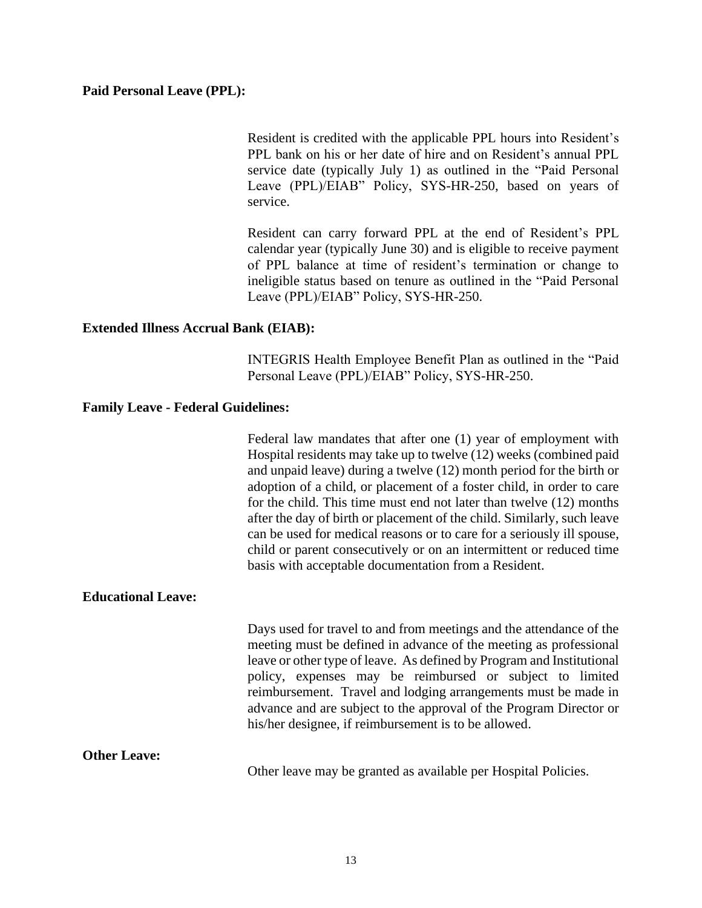## **Paid Personal Leave (PPL):**

Resident is credited with the applicable PPL hours into Resident's PPL bank on his or her date of hire and on Resident's annual PPL service date (typically July 1) as outlined in the "Paid Personal Leave (PPL)/EIAB" Policy, SYS-HR-250, based on years of service.

Resident can carry forward PPL at the end of Resident's PPL calendar year (typically June 30) and is eligible to receive payment of PPL balance at time of resident's termination or change to ineligible status based on tenure as outlined in the "Paid Personal Leave (PPL)/EIAB" Policy, SYS-HR-250.

## **Extended Illness Accrual Bank (EIAB):**

INTEGRIS Health Employee Benefit Plan as outlined in the "Paid Personal Leave (PPL)/EIAB" Policy, SYS-HR-250.

### **Family Leave - Federal Guidelines:**

Federal law mandates that after one (1) year of employment with Hospital residents may take up to twelve (12) weeks (combined paid and unpaid leave) during a twelve (12) month period for the birth or adoption of a child, or placement of a foster child, in order to care for the child. This time must end not later than twelve (12) months after the day of birth or placement of the child. Similarly, such leave can be used for medical reasons or to care for a seriously ill spouse, child or parent consecutively or on an intermittent or reduced time basis with acceptable documentation from a Resident.

#### **Educational Leave:**

Days used for travel to and from meetings and the attendance of the meeting must be defined in advance of the meeting as professional leave or other type of leave. As defined by Program and Institutional policy, expenses may be reimbursed or subject to limited reimbursement. Travel and lodging arrangements must be made in advance and are subject to the approval of the Program Director or his/her designee, if reimbursement is to be allowed.

### **Other Leave:**

Other leave may be granted as available per Hospital Policies.